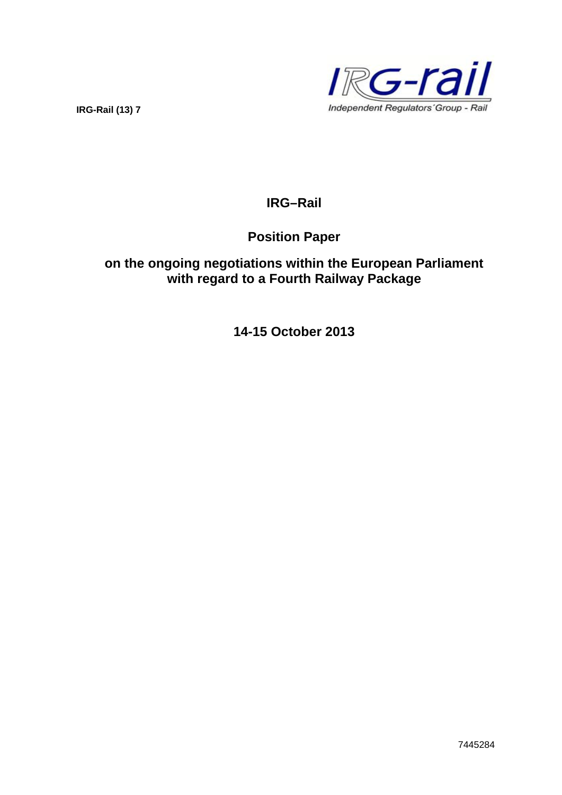**IRG-Rail (13) 7** 



# **IRG–Rail**

# **Position Paper**

# **on the ongoing negotiations within the European Parliament with regard to a Fourth Railway Package**

**14-15 October 2013**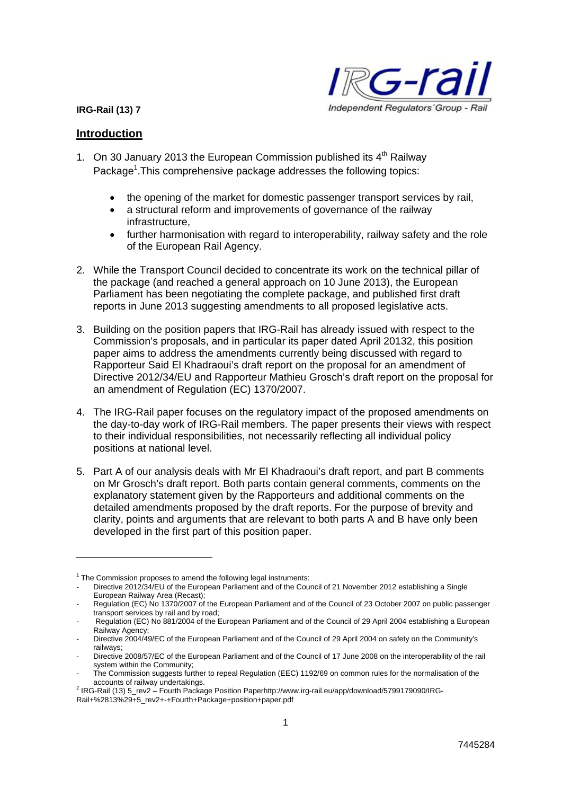#### **IRG-Rail (13) 7**



#### **Introduction**

1

- 1. On 30 January 2013 the European Commission published its  $4<sup>th</sup>$  Railway Package<sup>1</sup>. This comprehensive package addresses the following topics:
	- the opening of the market for domestic passenger transport services by rail,
	- a structural reform and improvements of governance of the railway infrastructure,
	- further harmonisation with regard to interoperability, railway safety and the role of the European Rail Agency.
- 2. While the Transport Council decided to concentrate its work on the technical pillar of the package (and reached a general approach on 10 June 2013), the European Parliament has been negotiating the complete package, and published first draft reports in June 2013 suggesting amendments to all proposed legislative acts.
- 3. Building on the position papers that IRG-Rail has already issued with respect to the Commission's proposals, and in particular its paper dated April 20132, this position paper aims to address the amendments currently being discussed with regard to Rapporteur Said El Khadraoui's draft report on the proposal for an amendment of Directive 2012/34/EU and Rapporteur Mathieu Grosch's draft report on the proposal for an amendment of Regulation (EC) 1370/2007.
- 4. The IRG-Rail paper focuses on the regulatory impact of the proposed amendments on the day-to-day work of IRG-Rail members. The paper presents their views with respect to their individual responsibilities, not necessarily reflecting all individual policy positions at national level.
- 5. Part A of our analysis deals with Mr El Khadraoui's draft report, and part B comments on Mr Grosch's draft report. Both parts contain general comments, comments on the explanatory statement given by the Rapporteurs and additional comments on the detailed amendments proposed by the draft reports. For the purpose of brevity and clarity, points and arguments that are relevant to both parts A and B have only been developed in the first part of this position paper.

 $1$  The Commission proposes to amend the following legal instruments:

<sup>-</sup> Directive 2012/34/EU of the European Parliament and of the Council of 21 November 2012 establishing a Single European Railway Area (Recast);

Regulation (EC) No 1370/2007 of the European Parliament and of the Council of 23 October 2007 on public passenger transport services by rail and by road;

Regulation (EC) No 881/2004 of the European Parliament and of the Council of 29 April 2004 establishing a European Railway Agency;

<sup>-</sup> Directive 2004/49/EC of the European Parliament and of the Council of 29 April 2004 on safety on the Community's railways;

<sup>-</sup> Directive 2008/57/EC of the European Parliament and of the Council of 17 June 2008 on the interoperability of the rail system within the Community;

<sup>-</sup> The Commission suggests further to repeal Regulation (EEC) 1192/69 on common rules for the normalisation of the accounts of railway undertakings. 2

<sup>&</sup>lt;sup>2</sup> IRG-Rail (13) 5\_rev2 – Fourth Package Position Paperhttp://www.irg-rail.eu/app/download/5799179090/IRG-Rail+%2813%29+5\_rev2+-+Fourth+Package+position+paper.pdf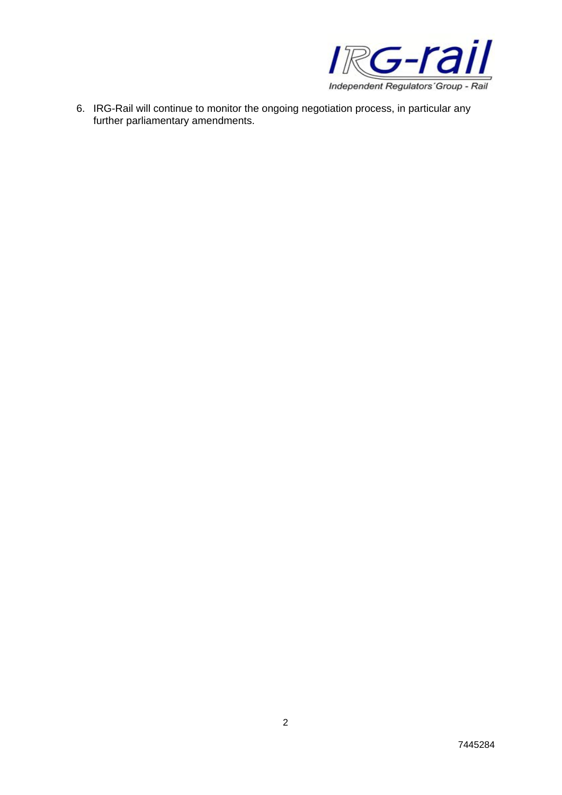

6. IRG-Rail will continue to monitor the ongoing negotiation process, in particular any further parliamentary amendments.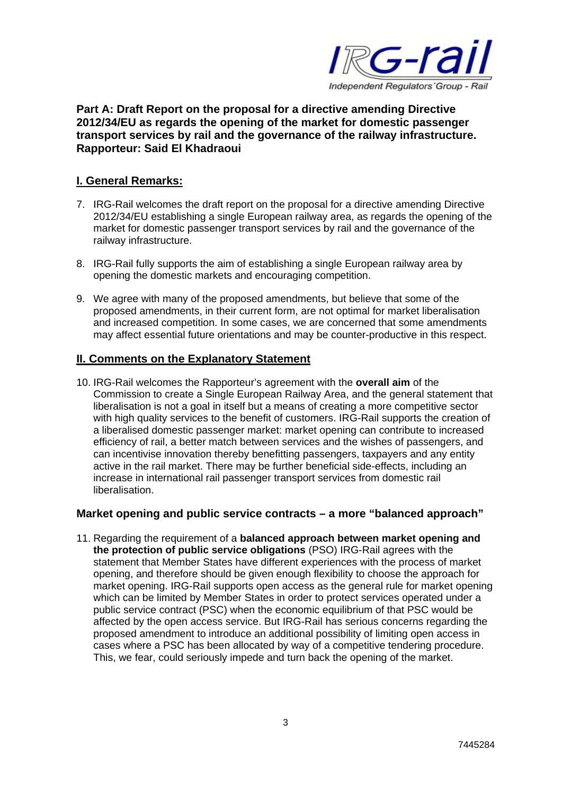

# **Part A: Draft Report on the proposal for a directive amending Directive 2012/34/EU as regards the opening of the market for domestic passenger transport services by rail and the governance of the railway infrastructure. Rapporteur: Said El Khadraoui**

# **I. General Remarks:**

- 7. IRG-Rail welcomes the draft report on the proposal for a directive amending Directive 2012/34/EU establishing a single European railway area, as regards the opening of the market for domestic passenger transport services by rail and the governance of the railway infrastructure.
- 8. IRG-Rail fully supports the aim of establishing a single European railway area by opening the domestic markets and encouraging competition.
- 9. We agree with many of the proposed amendments, but believe that some of the proposed amendments, in their current form, are not optimal for market liberalisation and increased competition. In some cases, we are concerned that some amendments may affect essential future orientations and may be counter-productive in this respect.

# **II. Comments on the Explanatory Statement**

10. IRG-Rail welcomes the Rapporteur's agreement with the **overall aim** of the Commission to create a Single European Railway Area, and the general statement that liberalisation is not a goal in itself but a means of creating a more competitive sector with high quality services to the benefit of customers. IRG-Rail supports the creation of a liberalised domestic passenger market: market opening can contribute to increased efficiency of rail, a better match between services and the wishes of passengers, and can incentivise innovation thereby benefitting passengers, taxpayers and any entity active in the rail market. There may be further beneficial side-effects, including an increase in international rail passenger transport services from domestic rail liberalisation.

# **Market opening and public service contracts – a more "balanced approach"**

11. Regarding the requirement of a **balanced approach between market opening and the protection of public service obligations** (PSO) IRG-Rail agrees with the statement that Member States have different experiences with the process of market opening, and therefore should be given enough flexibility to choose the approach for market opening. IRG-Rail supports open access as the general rule for market opening which can be limited by Member States in order to protect services operated under a public service contract (PSC) when the economic equilibrium of that PSC would be affected by the open access service. But IRG-Rail has serious concerns regarding the proposed amendment to introduce an additional possibility of limiting open access in cases where a PSC has been allocated by way of a competitive tendering procedure. This, we fear, could seriously impede and turn back the opening of the market.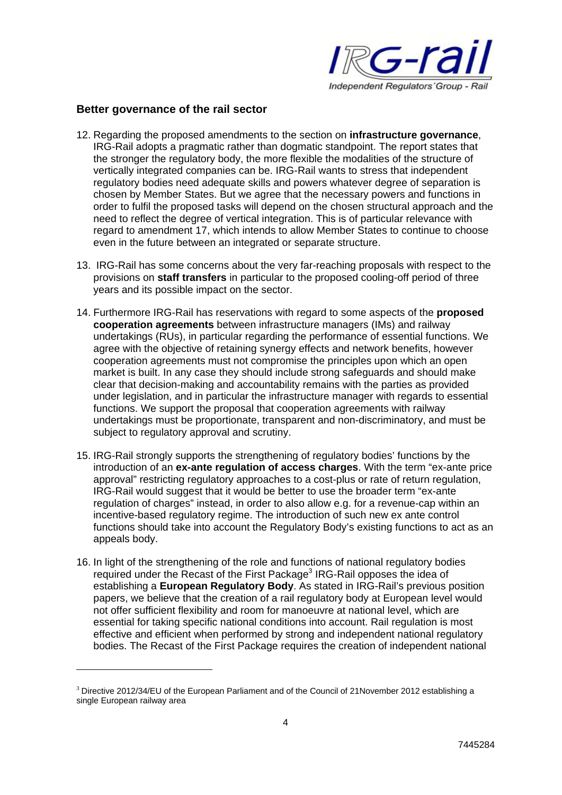

#### **Better governance of the rail sector**

- 12. Regarding the proposed amendments to the section on **infrastructure governance**, IRG-Rail adopts a pragmatic rather than dogmatic standpoint. The report states that the stronger the regulatory body, the more flexible the modalities of the structure of vertically integrated companies can be. IRG-Rail wants to stress that independent regulatory bodies need adequate skills and powers whatever degree of separation is chosen by Member States. But we agree that the necessary powers and functions in order to fulfil the proposed tasks will depend on the chosen structural approach and the need to reflect the degree of vertical integration. This is of particular relevance with regard to amendment 17, which intends to allow Member States to continue to choose even in the future between an integrated or separate structure.
- 13. IRG-Rail has some concerns about the very far-reaching proposals with respect to the provisions on **staff transfers** in particular to the proposed cooling-off period of three years and its possible impact on the sector.
- 14. Furthermore IRG-Rail has reservations with regard to some aspects of the **proposed cooperation agreements** between infrastructure managers (IMs) and railway undertakings (RUs), in particular regarding the performance of essential functions. We agree with the objective of retaining synergy effects and network benefits, however cooperation agreements must not compromise the principles upon which an open market is built. In any case they should include strong safeguards and should make clear that decision-making and accountability remains with the parties as provided under legislation, and in particular the infrastructure manager with regards to essential functions. We support the proposal that cooperation agreements with railway undertakings must be proportionate, transparent and non-discriminatory, and must be subject to regulatory approval and scrutiny.
- 15. IRG-Rail strongly supports the strengthening of regulatory bodies' functions by the introduction of an **ex-ante regulation of access charges**. With the term "ex-ante price approval" restricting regulatory approaches to a cost-plus or rate of return regulation, IRG-Rail would suggest that it would be better to use the broader term "ex-ante regulation of charges" instead, in order to also allow e.g. for a revenue-cap within an incentive-based regulatory regime. The introduction of such new ex ante control functions should take into account the Regulatory Body's existing functions to act as an appeals body.
- 16. In light of the strengthening of the role and functions of national regulatory bodies required under the Recast of the First Package<sup>3</sup> IRG-Rail opposes the idea of establishing a **European Regulatory Body**. As stated in IRG-Rail's previous position papers, we believe that the creation of a rail regulatory body at European level would not offer sufficient flexibility and room for manoeuvre at national level, which are essential for taking specific national conditions into account. Rail regulation is most effective and efficient when performed by strong and independent national regulatory bodies. The Recast of the First Package requires the creation of independent national

1

<sup>3</sup> Directive 2012/34/EU of the European Parliament and of the Council of 21November 2012 establishing a single European railway area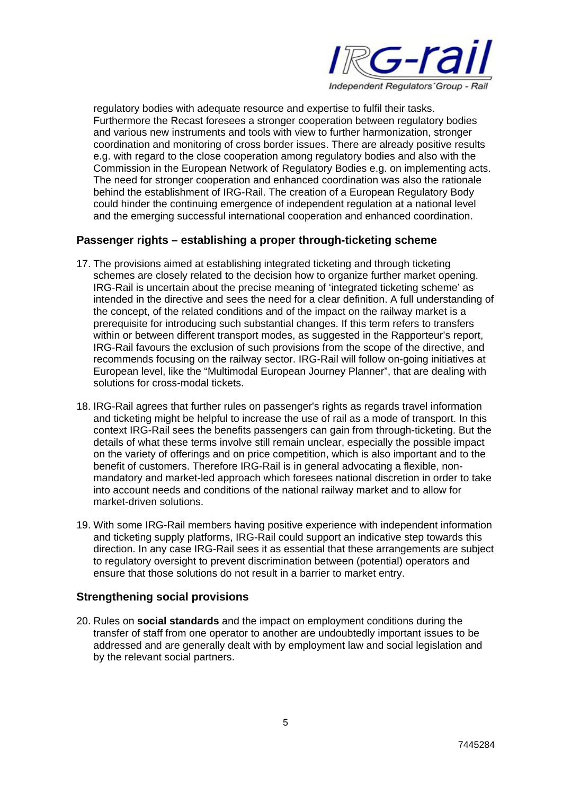

regulatory bodies with adequate resource and expertise to fulfil their tasks. Furthermore the Recast foresees a stronger cooperation between regulatory bodies and various new instruments and tools with view to further harmonization, stronger coordination and monitoring of cross border issues. There are already positive results e.g. with regard to the close cooperation among regulatory bodies and also with the Commission in the European Network of Regulatory Bodies e.g. on implementing acts. The need for stronger cooperation and enhanced coordination was also the rationale behind the establishment of IRG-Rail. The creation of a European Regulatory Body could hinder the continuing emergence of independent regulation at a national level and the emerging successful international cooperation and enhanced coordination.

# **Passenger rights – establishing a proper through-ticketing scheme**

- 17. The provisions aimed at establishing integrated ticketing and through ticketing schemes are closely related to the decision how to organize further market opening. IRG-Rail is uncertain about the precise meaning of 'integrated ticketing scheme' as intended in the directive and sees the need for a clear definition. A full understanding of the concept, of the related conditions and of the impact on the railway market is a prerequisite for introducing such substantial changes. If this term refers to transfers within or between different transport modes, as suggested in the Rapporteur's report, IRG-Rail favours the exclusion of such provisions from the scope of the directive, and recommends focusing on the railway sector. IRG-Rail will follow on-going initiatives at European level, like the "Multimodal European Journey Planner", that are dealing with solutions for cross-modal tickets.
- 18. IRG-Rail agrees that further rules on passenger's rights as regards travel information and ticketing might be helpful to increase the use of rail as a mode of transport. In this context IRG-Rail sees the benefits passengers can gain from through-ticketing. But the details of what these terms involve still remain unclear, especially the possible impact on the variety of offerings and on price competition, which is also important and to the benefit of customers. Therefore IRG-Rail is in general advocating a flexible, nonmandatory and market-led approach which foresees national discretion in order to take into account needs and conditions of the national railway market and to allow for market-driven solutions.
- 19. With some IRG-Rail members having positive experience with independent information and ticketing supply platforms, IRG-Rail could support an indicative step towards this direction. In any case IRG-Rail sees it as essential that these arrangements are subject to regulatory oversight to prevent discrimination between (potential) operators and ensure that those solutions do not result in a barrier to market entry.

# **Strengthening social provisions**

20. Rules on **social standards** and the impact on employment conditions during the transfer of staff from one operator to another are undoubtedly important issues to be addressed and are generally dealt with by employment law and social legislation and by the relevant social partners.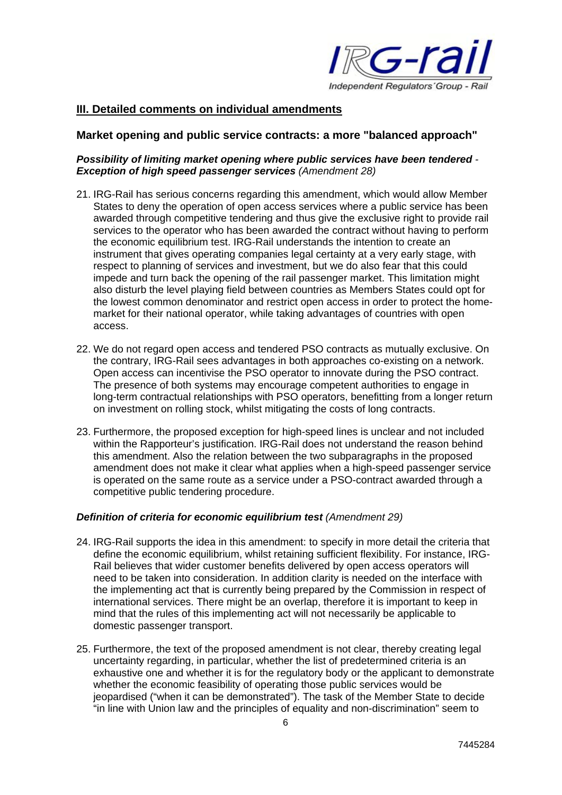

# **III. Detailed comments on individual amendments**

#### **Market opening and public service contracts: a more "balanced approach"**

#### *Possibility of limiting market opening where public services have been tendered - Exception of high speed passenger services (Amendment 28)*

- 21. IRG-Rail has serious concerns regarding this amendment, which would allow Member States to deny the operation of open access services where a public service has been awarded through competitive tendering and thus give the exclusive right to provide rail services to the operator who has been awarded the contract without having to perform the economic equilibrium test. IRG-Rail understands the intention to create an instrument that gives operating companies legal certainty at a very early stage, with respect to planning of services and investment, but we do also fear that this could impede and turn back the opening of the rail passenger market. This limitation might also disturb the level playing field between countries as Members States could opt for the lowest common denominator and restrict open access in order to protect the homemarket for their national operator, while taking advantages of countries with open access.
- 22. We do not regard open access and tendered PSO contracts as mutually exclusive. On the contrary, IRG-Rail sees advantages in both approaches co-existing on a network. Open access can incentivise the PSO operator to innovate during the PSO contract. The presence of both systems may encourage competent authorities to engage in long-term contractual relationships with PSO operators, benefitting from a longer return on investment on rolling stock, whilst mitigating the costs of long contracts.
- 23. Furthermore, the proposed exception for high-speed lines is unclear and not included within the Rapporteur's justification. IRG-Rail does not understand the reason behind this amendment. Also the relation between the two subparagraphs in the proposed amendment does not make it clear what applies when a high-speed passenger service is operated on the same route as a service under a PSO-contract awarded through a competitive public tendering procedure.

#### *Definition of criteria for economic equilibrium test (Amendment 29)*

- 24. IRG-Rail supports the idea in this amendment: to specify in more detail the criteria that define the economic equilibrium, whilst retaining sufficient flexibility. For instance, IRG-Rail believes that wider customer benefits delivered by open access operators will need to be taken into consideration. In addition clarity is needed on the interface with the implementing act that is currently being prepared by the Commission in respect of international services. There might be an overlap, therefore it is important to keep in mind that the rules of this implementing act will not necessarily be applicable to domestic passenger transport.
- 25. Furthermore, the text of the proposed amendment is not clear, thereby creating legal uncertainty regarding, in particular, whether the list of predetermined criteria is an exhaustive one and whether it is for the regulatory body or the applicant to demonstrate whether the economic feasibility of operating those public services would be jeopardised ("when it can be demonstrated"). The task of the Member State to decide "in line with Union law and the principles of equality and non-discrimination" seem to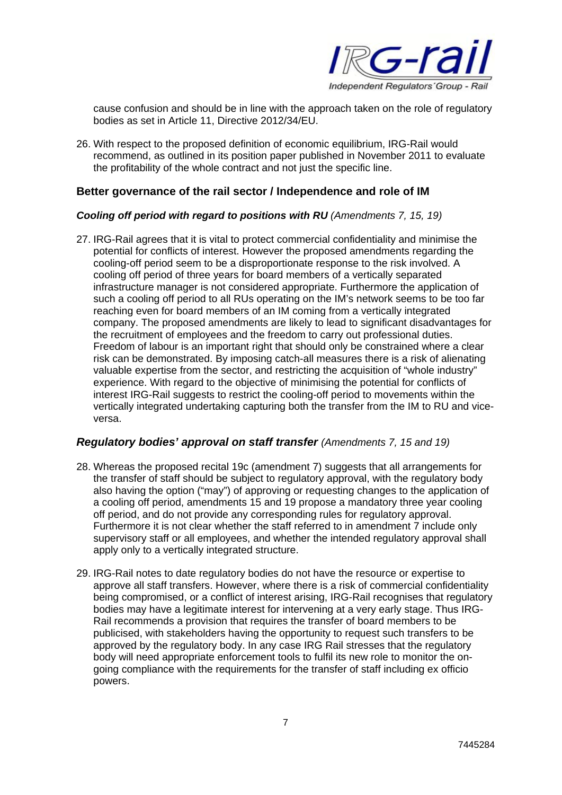

cause confusion and should be in line with the approach taken on the role of regulatory bodies as set in Article 11, Directive 2012/34/EU.

26. With respect to the proposed definition of economic equilibrium, IRG-Rail would recommend, as outlined in its position paper published in November 2011 to evaluate the profitability of the whole contract and not just the specific line.

# **Better governance of the rail sector / Independence and role of IM**

#### *Cooling off period with regard to positions with RU (Amendments 7, 15, 19)*

27. IRG-Rail agrees that it is vital to protect commercial confidentiality and minimise the potential for conflicts of interest. However the proposed amendments regarding the cooling-off period seem to be a disproportionate response to the risk involved. A cooling off period of three years for board members of a vertically separated infrastructure manager is not considered appropriate. Furthermore the application of such a cooling off period to all RUs operating on the IM's network seems to be too far reaching even for board members of an IM coming from a vertically integrated company. The proposed amendments are likely to lead to significant disadvantages for the recruitment of employees and the freedom to carry out professional duties. Freedom of labour is an important right that should only be constrained where a clear risk can be demonstrated. By imposing catch-all measures there is a risk of alienating valuable expertise from the sector, and restricting the acquisition of "whole industry" experience. With regard to the objective of minimising the potential for conflicts of interest IRG-Rail suggests to restrict the cooling-off period to movements within the vertically integrated undertaking capturing both the transfer from the IM to RU and viceversa.

# *Regulatory bodies' approval on staff transfer (Amendments 7, 15 and 19)*

- 28. Whereas the proposed recital 19c (amendment 7) suggests that all arrangements for the transfer of staff should be subject to regulatory approval, with the regulatory body also having the option ("may") of approving or requesting changes to the application of a cooling off period, amendments 15 and 19 propose a mandatory three year cooling off period, and do not provide any corresponding rules for regulatory approval. Furthermore it is not clear whether the staff referred to in amendment 7 include only supervisory staff or all employees, and whether the intended regulatory approval shall apply only to a vertically integrated structure.
- 29. IRG-Rail notes to date regulatory bodies do not have the resource or expertise to approve all staff transfers. However, where there is a risk of commercial confidentiality being compromised, or a conflict of interest arising, IRG-Rail recognises that regulatory bodies may have a legitimate interest for intervening at a very early stage. Thus IRG-Rail recommends a provision that requires the transfer of board members to be publicised, with stakeholders having the opportunity to request such transfers to be approved by the regulatory body. In any case IRG Rail stresses that the regulatory body will need appropriate enforcement tools to fulfil its new role to monitor the ongoing compliance with the requirements for the transfer of staff including ex officio powers.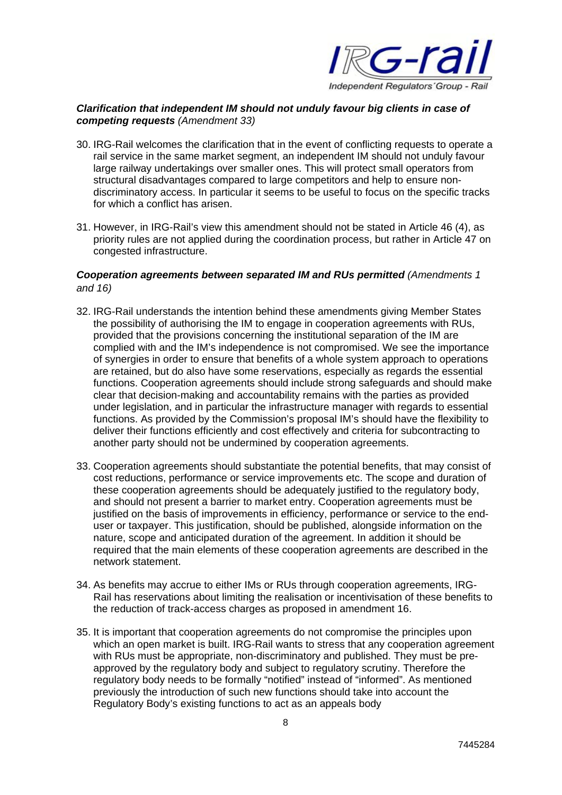

# *Clarification that independent IM should not unduly favour big clients in case of competing requests (Amendment 33)*

- 30. IRG-Rail welcomes the clarification that in the event of conflicting requests to operate a rail service in the same market segment, an independent IM should not unduly favour large railway undertakings over smaller ones. This will protect small operators from structural disadvantages compared to large competitors and help to ensure nondiscriminatory access. In particular it seems to be useful to focus on the specific tracks for which a conflict has arisen.
- 31. However, in IRG-Rail's view this amendment should not be stated in Article 46 (4), as priority rules are not applied during the coordination process, but rather in Article 47 on congested infrastructure.

# *Cooperation agreements between separated IM and RUs permitted (Amendments 1 and 16)*

- 32. IRG-Rail understands the intention behind these amendments giving Member States the possibility of authorising the IM to engage in cooperation agreements with RUs, provided that the provisions concerning the institutional separation of the IM are complied with and the IM's independence is not compromised. We see the importance of synergies in order to ensure that benefits of a whole system approach to operations are retained, but do also have some reservations, especially as regards the essential functions. Cooperation agreements should include strong safeguards and should make clear that decision-making and accountability remains with the parties as provided under legislation, and in particular the infrastructure manager with regards to essential functions. As provided by the Commission's proposal IM's should have the flexibility to deliver their functions efficiently and cost effectively and criteria for subcontracting to another party should not be undermined by cooperation agreements.
- 33. Cooperation agreements should substantiate the potential benefits, that may consist of cost reductions, performance or service improvements etc. The scope and duration of these cooperation agreements should be adequately justified to the regulatory body, and should not present a barrier to market entry. Cooperation agreements must be justified on the basis of improvements in efficiency, performance or service to the enduser or taxpayer. This justification, should be published, alongside information on the nature, scope and anticipated duration of the agreement. In addition it should be required that the main elements of these cooperation agreements are described in the network statement.
- 34. As benefits may accrue to either IMs or RUs through cooperation agreements, IRG-Rail has reservations about limiting the realisation or incentivisation of these benefits to the reduction of track-access charges as proposed in amendment 16.
- 35. It is important that cooperation agreements do not compromise the principles upon which an open market is built. IRG-Rail wants to stress that any cooperation agreement with RUs must be appropriate, non-discriminatory and published. They must be preapproved by the regulatory body and subject to regulatory scrutiny. Therefore the regulatory body needs to be formally "notified" instead of "informed". As mentioned previously the introduction of such new functions should take into account the Regulatory Body's existing functions to act as an appeals body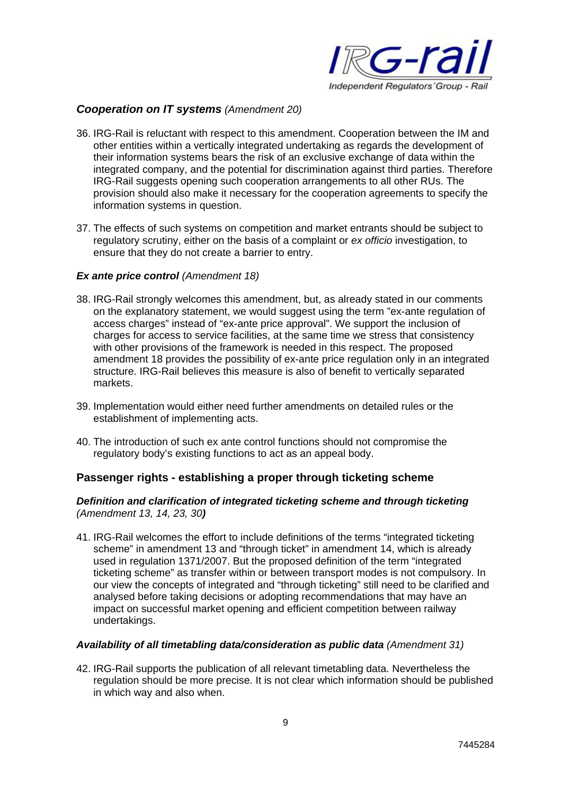

# *Cooperation on IT systems (Amendment 20)*

- 36. IRG-Rail is reluctant with respect to this amendment. Cooperation between the IM and other entities within a vertically integrated undertaking as regards the development of their information systems bears the risk of an exclusive exchange of data within the integrated company, and the potential for discrimination against third parties. Therefore IRG-Rail suggests opening such cooperation arrangements to all other RUs. The provision should also make it necessary for the cooperation agreements to specify the information systems in question.
- 37. The effects of such systems on competition and market entrants should be subject to regulatory scrutiny, either on the basis of a complaint or *ex officio* investigation, to ensure that they do not create a barrier to entry.

# *Ex ante price control (Amendment 18)*

- 38. IRG-Rail strongly welcomes this amendment, but, as already stated in our comments on the explanatory statement, we would suggest using the term "ex-ante regulation of access charges" instead of "ex-ante price approval". We support the inclusion of charges for access to service facilities, at the same time we stress that consistency with other provisions of the framework is needed in this respect. The proposed amendment 18 provides the possibility of ex-ante price regulation only in an integrated structure. IRG-Rail believes this measure is also of benefit to vertically separated markets.
- 39. Implementation would either need further amendments on detailed rules or the establishment of implementing acts.
- 40. The introduction of such ex ante control functions should not compromise the regulatory body's existing functions to act as an appeal body.

# **Passenger rights - establishing a proper through ticketing scheme**

#### *Definition and clarification of integrated ticketing scheme and through ticketing (Amendment 13, 14, 23, 30)*

41. IRG-Rail welcomes the effort to include definitions of the terms "integrated ticketing scheme" in amendment 13 and "through ticket" in amendment 14, which is already used in regulation 1371/2007. But the proposed definition of the term "integrated ticketing scheme" as transfer within or between transport modes is not compulsory. In our view the concepts of integrated and "through ticketing" still need to be clarified and analysed before taking decisions or adopting recommendations that may have an impact on successful market opening and efficient competition between railway undertakings.

#### *Availability of all timetabling data/consideration as public data (Amendment 31)*

42. IRG-Rail supports the publication of all relevant timetabling data. Nevertheless the regulation should be more precise. It is not clear which information should be published in which way and also when.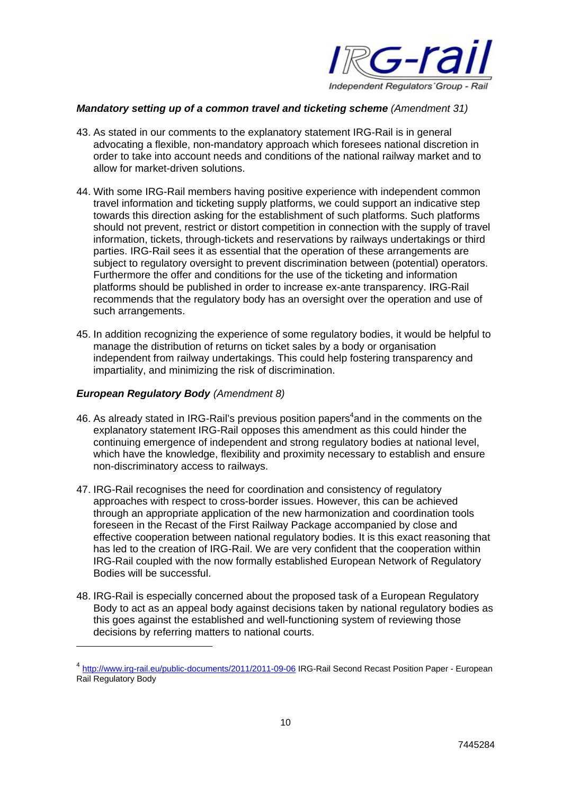

#### *Mandatory setting up of a common travel and ticketing scheme (Amendment 31)*

- 43. As stated in our comments to the explanatory statement IRG-Rail is in general advocating a flexible, non-mandatory approach which foresees national discretion in order to take into account needs and conditions of the national railway market and to allow for market-driven solutions.
- 44. With some IRG-Rail members having positive experience with independent common travel information and ticketing supply platforms, we could support an indicative step towards this direction asking for the establishment of such platforms. Such platforms should not prevent, restrict or distort competition in connection with the supply of travel information, tickets, through-tickets and reservations by railways undertakings or third parties. IRG-Rail sees it as essential that the operation of these arrangements are subject to regulatory oversight to prevent discrimination between (potential) operators. Furthermore the offer and conditions for the use of the ticketing and information platforms should be published in order to increase ex-ante transparency. IRG-Rail recommends that the regulatory body has an oversight over the operation and use of such arrangements.
- 45. In addition recognizing the experience of some regulatory bodies, it would be helpful to manage the distribution of returns on ticket sales by a body or organisation independent from railway undertakings. This could help fostering transparency and impartiality, and minimizing the risk of discrimination.

#### *European Regulatory Body (Amendment 8)*

1

- 46. As already stated in IRG-Rail's previous position papers $4$  and in the comments on the explanatory statement IRG-Rail opposes this amendment as this could hinder the continuing emergence of independent and strong regulatory bodies at national level, which have the knowledge, flexibility and proximity necessary to establish and ensure non-discriminatory access to railways.
- 47. IRG-Rail recognises the need for coordination and consistency of regulatory approaches with respect to cross-border issues. However, this can be achieved through an appropriate application of the new harmonization and coordination tools foreseen in the Recast of the First Railway Package accompanied by close and effective cooperation between national regulatory bodies. It is this exact reasoning that has led to the creation of IRG-Rail. We are very confident that the cooperation within IRG-Rail coupled with the now formally established European Network of Regulatory Bodies will be successful.
- 48. IRG-Rail is especially concerned about the proposed task of a European Regulatory Body to act as an appeal body against decisions taken by national regulatory bodies as this goes against the established and well-functioning system of reviewing those decisions by referring matters to national courts.

<sup>4</sup> http://www.irg-rail.eu/public-documents/2011/2011-09-06 IRG-Rail Second Recast Position Paper - European Rail Regulatory Body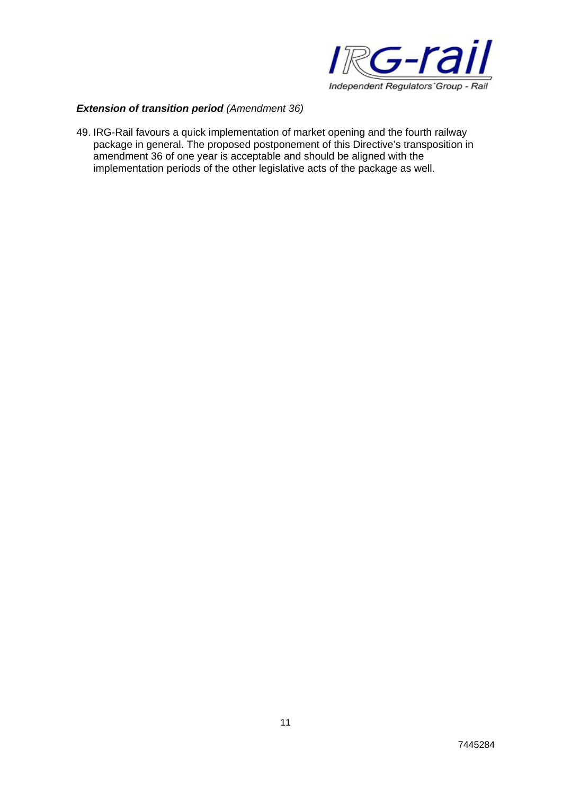

# *Extension of transition period (Amendment 36)*

49. IRG-Rail favours a quick implementation of market opening and the fourth railway package in general. The proposed postponement of this Directive's transposition in amendment 36 of one year is acceptable and should be aligned with the implementation periods of the other legislative acts of the package as well.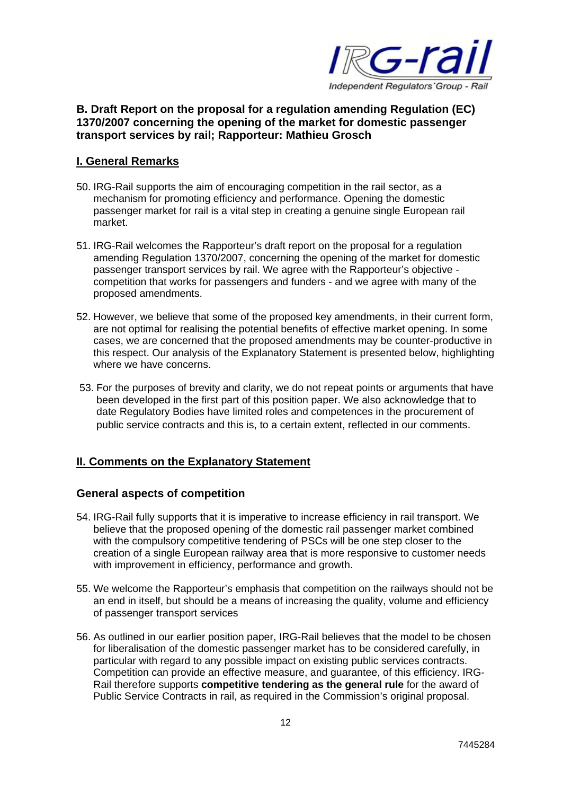

# **B. Draft Report on the proposal for a regulation amending Regulation (EC) 1370/2007 concerning the opening of the market for domestic passenger transport services by rail; Rapporteur: Mathieu Grosch**

# **I. General Remarks**

- 50. IRG-Rail supports the aim of encouraging competition in the rail sector, as a mechanism for promoting efficiency and performance. Opening the domestic passenger market for rail is a vital step in creating a genuine single European rail market.
- 51. IRG-Rail welcomes the Rapporteur's draft report on the proposal for a regulation amending Regulation 1370/2007, concerning the opening of the market for domestic passenger transport services by rail. We agree with the Rapporteur's objective competition that works for passengers and funders - and we agree with many of the proposed amendments.
- 52. However, we believe that some of the proposed key amendments, in their current form, are not optimal for realising the potential benefits of effective market opening. In some cases, we are concerned that the proposed amendments may be counter-productive in this respect. Our analysis of the Explanatory Statement is presented below, highlighting where we have concerns.
- 53. For the purposes of brevity and clarity, we do not repeat points or arguments that have been developed in the first part of this position paper. We also acknowledge that to date Regulatory Bodies have limited roles and competences in the procurement of public service contracts and this is, to a certain extent, reflected in our comments.

# **II. Comments on the Explanatory Statement**

# **General aspects of competition**

- 54. IRG-Rail fully supports that it is imperative to increase efficiency in rail transport. We believe that the proposed opening of the domestic rail passenger market combined with the compulsory competitive tendering of PSCs will be one step closer to the creation of a single European railway area that is more responsive to customer needs with improvement in efficiency, performance and growth.
- 55. We welcome the Rapporteur's emphasis that competition on the railways should not be an end in itself, but should be a means of increasing the quality, volume and efficiency of passenger transport services
- 56. As outlined in our earlier position paper, IRG-Rail believes that the model to be chosen for liberalisation of the domestic passenger market has to be considered carefully, in particular with regard to any possible impact on existing public services contracts. Competition can provide an effective measure, and guarantee, of this efficiency. IRG-Rail therefore supports **competitive tendering as the general rule** for the award of Public Service Contracts in rail, as required in the Commission's original proposal.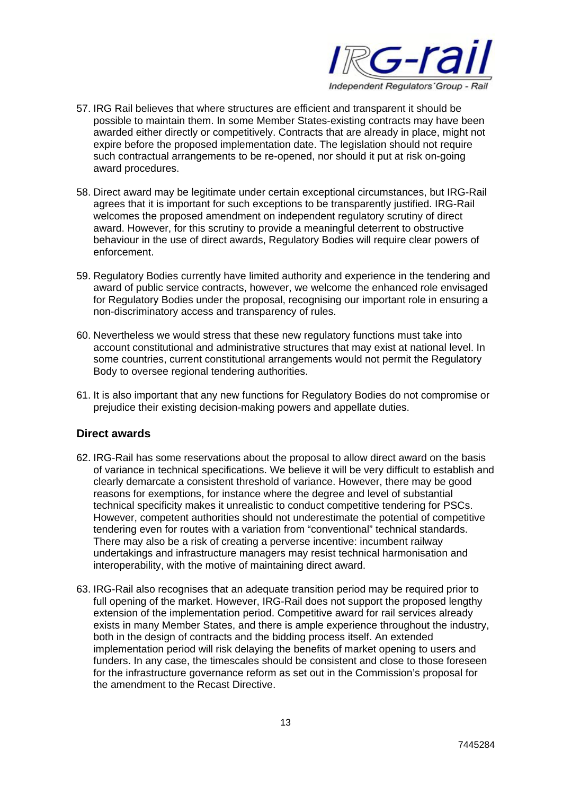

- 57. IRG Rail believes that where structures are efficient and transparent it should be possible to maintain them. In some Member States-existing contracts may have been awarded either directly or competitively. Contracts that are already in place, might not expire before the proposed implementation date. The legislation should not require such contractual arrangements to be re-opened, nor should it put at risk on-going award procedures.
- 58. Direct award may be legitimate under certain exceptional circumstances, but IRG-Rail agrees that it is important for such exceptions to be transparently justified. IRG-Rail welcomes the proposed amendment on independent regulatory scrutiny of direct award. However, for this scrutiny to provide a meaningful deterrent to obstructive behaviour in the use of direct awards, Regulatory Bodies will require clear powers of enforcement.
- 59. Regulatory Bodies currently have limited authority and experience in the tendering and award of public service contracts, however, we welcome the enhanced role envisaged for Regulatory Bodies under the proposal, recognising our important role in ensuring a non-discriminatory access and transparency of rules.
- 60. Nevertheless we would stress that these new regulatory functions must take into account constitutional and administrative structures that may exist at national level. In some countries, current constitutional arrangements would not permit the Regulatory Body to oversee regional tendering authorities.
- 61. It is also important that any new functions for Regulatory Bodies do not compromise or prejudice their existing decision-making powers and appellate duties.

# **Direct awards**

- 62. IRG-Rail has some reservations about the proposal to allow direct award on the basis of variance in technical specifications. We believe it will be very difficult to establish and clearly demarcate a consistent threshold of variance. However, there may be good reasons for exemptions, for instance where the degree and level of substantial technical specificity makes it unrealistic to conduct competitive tendering for PSCs. However, competent authorities should not underestimate the potential of competitive tendering even for routes with a variation from "conventional" technical standards. There may also be a risk of creating a perverse incentive: incumbent railway undertakings and infrastructure managers may resist technical harmonisation and interoperability, with the motive of maintaining direct award.
- 63. IRG-Rail also recognises that an adequate transition period may be required prior to full opening of the market. However, IRG-Rail does not support the proposed lengthy extension of the implementation period. Competitive award for rail services already exists in many Member States, and there is ample experience throughout the industry, both in the design of contracts and the bidding process itself. An extended implementation period will risk delaying the benefits of market opening to users and funders. In any case, the timescales should be consistent and close to those foreseen for the infrastructure governance reform as set out in the Commission's proposal for the amendment to the Recast Directive.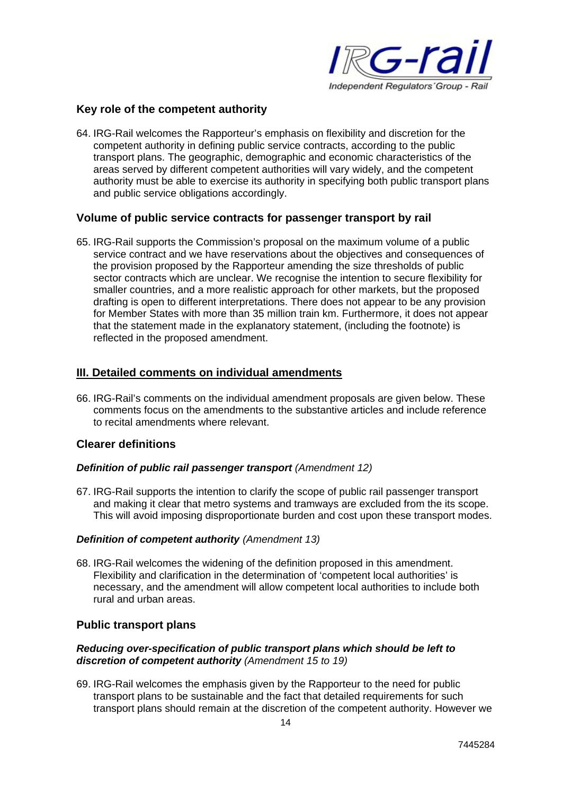

# **Key role of the competent authority**

64. IRG-Rail welcomes the Rapporteur's emphasis on flexibility and discretion for the competent authority in defining public service contracts, according to the public transport plans. The geographic, demographic and economic characteristics of the areas served by different competent authorities will vary widely, and the competent authority must be able to exercise its authority in specifying both public transport plans and public service obligations accordingly.

# **Volume of public service contracts for passenger transport by rail**

65. IRG-Rail supports the Commission's proposal on the maximum volume of a public service contract and we have reservations about the objectives and consequences of the provision proposed by the Rapporteur amending the size thresholds of public sector contracts which are unclear. We recognise the intention to secure flexibility for smaller countries, and a more realistic approach for other markets, but the proposed drafting is open to different interpretations. There does not appear to be any provision for Member States with more than 35 million train km. Furthermore, it does not appear that the statement made in the explanatory statement, (including the footnote) is reflected in the proposed amendment.

# **III. Detailed comments on individual amendments**

66. IRG-Rail's comments on the individual amendment proposals are given below. These comments focus on the amendments to the substantive articles and include reference to recital amendments where relevant.

# **Clearer definitions**

#### *Definition of public rail passenger transport (Amendment 12)*

67. IRG-Rail supports the intention to clarify the scope of public rail passenger transport and making it clear that metro systems and tramways are excluded from the its scope. This will avoid imposing disproportionate burden and cost upon these transport modes.

#### *Definition of competent authority (Amendment 13)*

68. IRG-Rail welcomes the widening of the definition proposed in this amendment. Flexibility and clarification in the determination of 'competent local authorities' is necessary, and the amendment will allow competent local authorities to include both rural and urban areas.

# **Public transport plans**

#### *Reducing over-specification of public transport plans which should be left to discretion of competent authority (Amendment 15 to 19)*

69. IRG-Rail welcomes the emphasis given by the Rapporteur to the need for public transport plans to be sustainable and the fact that detailed requirements for such transport plans should remain at the discretion of the competent authority. However we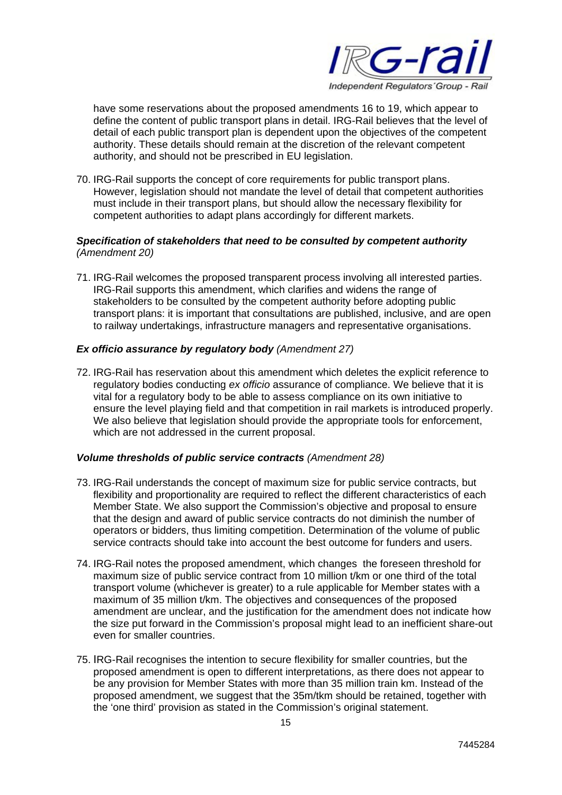

have some reservations about the proposed amendments 16 to 19, which appear to define the content of public transport plans in detail. IRG-Rail believes that the level of detail of each public transport plan is dependent upon the objectives of the competent authority. These details should remain at the discretion of the relevant competent authority, and should not be prescribed in EU legislation.

70. IRG-Rail supports the concept of core requirements for public transport plans. However, legislation should not mandate the level of detail that competent authorities must include in their transport plans, but should allow the necessary flexibility for competent authorities to adapt plans accordingly for different markets.

#### *Specification of stakeholders that need to be consulted by competent authority (Amendment 20)*

71. IRG-Rail welcomes the proposed transparent process involving all interested parties. IRG-Rail supports this amendment, which clarifies and widens the range of stakeholders to be consulted by the competent authority before adopting public transport plans: it is important that consultations are published, inclusive, and are open to railway undertakings, infrastructure managers and representative organisations.

# *Ex officio assurance by regulatory body (Amendment 27)*

72. IRG-Rail has reservation about this amendment which deletes the explicit reference to regulatory bodies conducting *ex officio* assurance of compliance. We believe that it is vital for a regulatory body to be able to assess compliance on its own initiative to ensure the level playing field and that competition in rail markets is introduced properly. We also believe that legislation should provide the appropriate tools for enforcement, which are not addressed in the current proposal.

# *Volume thresholds of public service contracts (Amendment 28)*

- 73. IRG-Rail understands the concept of maximum size for public service contracts, but flexibility and proportionality are required to reflect the different characteristics of each Member State. We also support the Commission's objective and proposal to ensure that the design and award of public service contracts do not diminish the number of operators or bidders, thus limiting competition. Determination of the volume of public service contracts should take into account the best outcome for funders and users.
- 74. IRG-Rail notes the proposed amendment, which changes the foreseen threshold for maximum size of public service contract from 10 million t/km or one third of the total transport volume (whichever is greater) to a rule applicable for Member states with a maximum of 35 million t/km. The objectives and consequences of the proposed amendment are unclear, and the justification for the amendment does not indicate how the size put forward in the Commission's proposal might lead to an inefficient share-out even for smaller countries.
- 75. IRG-Rail recognises the intention to secure flexibility for smaller countries, but the proposed amendment is open to different interpretations, as there does not appear to be any provision for Member States with more than 35 million train km. Instead of the proposed amendment, we suggest that the 35m/tkm should be retained, together with the 'one third' provision as stated in the Commission's original statement.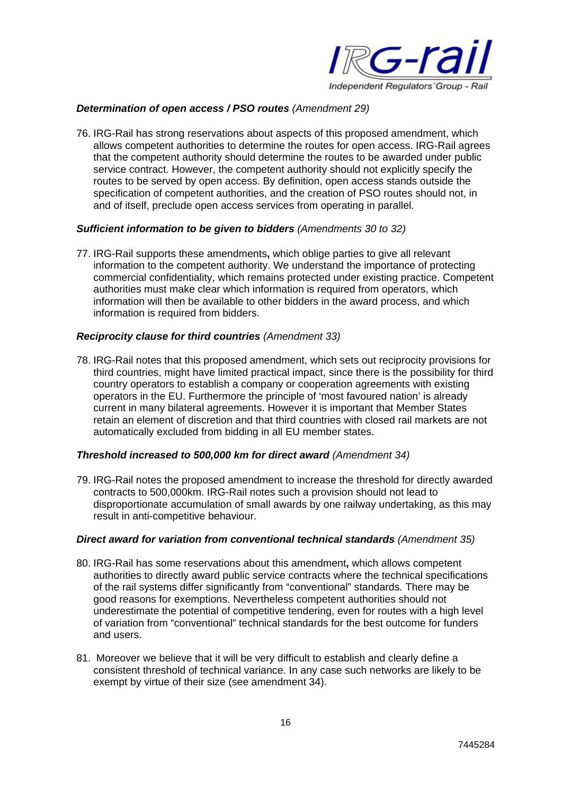

# *Determination of open access / PSO routes (Amendment 29)*

76. IRG-Rail has strong reservations about aspects of this proposed amendment, which allows competent authorities to determine the routes for open access. IRG-Rail agrees that the competent authority should determine the routes to be awarded under public service contract. However, the competent authority should not explicitly specify the routes to be served by open access. By definition, open access stands outside the specification of competent authorities, and the creation of PSO routes should not, in and of itself, preclude open access services from operating in parallel.

#### *Sufficient information to be given to bidders (Amendments 30 to 32)*

77. IRG-Rail supports these amendments**,** which oblige parties to give all relevant information to the competent authority. We understand the importance of protecting commercial confidentiality, which remains protected under existing practice. Competent authorities must make clear which information is required from operators, which information will then be available to other bidders in the award process, and which information is required from bidders.

#### *Reciprocity clause for third countries (Amendment 33)*

78. IRG-Rail notes that this proposed amendment, which sets out reciprocity provisions for third countries, might have limited practical impact, since there is the possibility for third country operators to establish a company or cooperation agreements with existing operators in the EU. Furthermore the principle of 'most favoured nation' is already current in many bilateral agreements. However it is important that Member States retain an element of discretion and that third countries with closed rail markets are not automatically excluded from bidding in all EU member states.

#### *Threshold increased to 500,000 km for direct award (Amendment 34)*

79. IRG-Rail notes the proposed amendment to increase the threshold for directly awarded contracts to 500,000km. IRG-Rail notes such a provision should not lead to disproportionate accumulation of small awards by one railway undertaking, as this may result in anti-competitive behaviour.

#### *Direct award for variation from conventional technical standards (Amendment 35)*

- 80. IRG-Rail has some reservations about this amendment**,** which allows competent authorities to directly award public service contracts where the technical specifications of the rail systems differ significantly from "conventional" standards*.* There may be good reasons for exemptions. Nevertheless competent authorities should not underestimate the potential of competitive tendering, even for routes with a high level of variation from "conventional" technical standards for the best outcome for funders and users.
- 81. Moreover we believe that it will be very difficult to establish and clearly define a consistent threshold of technical variance. In any case such networks are likely to be exempt by virtue of their size (see amendment 34).